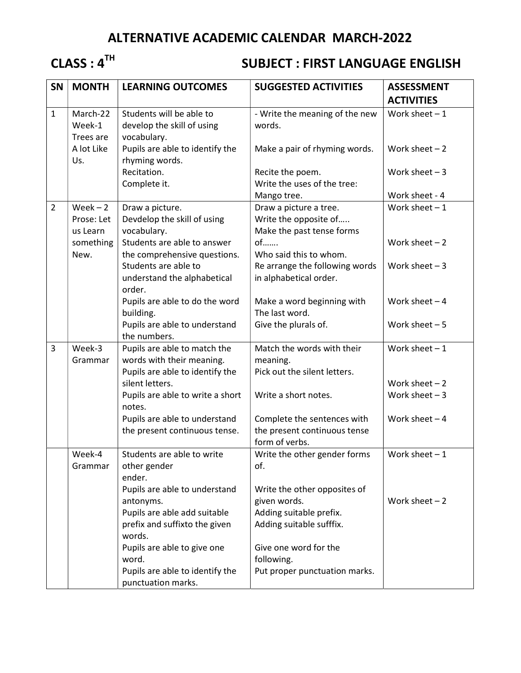# ALTERNATIVE ACADEMIC CALENDAR MARCH-2022

# CLASS : 4<sup>TH</sup> SUBJECT : FIRST LANGUAGE ENGLISH

| SN             | <b>MONTH</b>      | <b>LEARNING OUTCOMES</b>         | <b>SUGGESTED ACTIVITIES</b>                    | <b>ASSESSMENT</b> |
|----------------|-------------------|----------------------------------|------------------------------------------------|-------------------|
|                |                   |                                  |                                                | <b>ACTIVITIES</b> |
| $\mathbf{1}$   | March-22          | Students will be able to         | - Write the meaning of the new                 | Work sheet $-1$   |
|                | Week-1            | develop the skill of using       | words.                                         |                   |
|                | Trees are         | vocabulary.                      |                                                |                   |
|                | A lot Like<br>Us. | Pupils are able to identify the  | Make a pair of rhyming words.                  | Work sheet $-2$   |
|                |                   | rhyming words.<br>Recitation.    | Recite the poem.                               | Work sheet $-3$   |
|                |                   | Complete it.                     | Write the uses of the tree:                    |                   |
|                |                   |                                  | Mango tree.                                    | Work sheet - 4    |
| $\overline{2}$ | $Week - 2$        | Draw a picture.                  | Draw a picture a tree.                         | Work sheet $-1$   |
|                | Prose: Let        | Devdelop the skill of using      | Write the opposite of                          |                   |
|                | us Learn          | vocabulary.                      | Make the past tense forms                      |                   |
|                | something         | Students are able to answer      | $of$                                           | Work sheet $-2$   |
|                | New.              | the comprehensive questions.     | Who said this to whom.                         |                   |
|                |                   | Students are able to             | Re arrange the following words                 | Work sheet $-3$   |
|                |                   | understand the alphabetical      | in alphabetical order.                         |                   |
|                |                   | order.                           |                                                |                   |
|                |                   | Pupils are able to do the word   | Make a word beginning with                     | Work sheet $-4$   |
|                |                   | building.                        | The last word.                                 |                   |
|                |                   | Pupils are able to understand    | Give the plurals of.                           | Work sheet $-5$   |
|                |                   | the numbers.                     |                                                |                   |
| 3              | Week-3            | Pupils are able to match the     | Match the words with their                     | Work sheet $-1$   |
|                | Grammar           | words with their meaning.        | meaning.                                       |                   |
|                |                   | Pupils are able to identify the  | Pick out the silent letters.                   |                   |
|                |                   | silent letters.                  |                                                | Work sheet $-2$   |
|                |                   | Pupils are able to write a short | Write a short notes.                           | Work sheet $-3$   |
|                |                   | notes.                           |                                                |                   |
|                |                   | Pupils are able to understand    | Complete the sentences with                    | Work sheet $-4$   |
|                |                   | the present continuous tense.    | the present continuous tense                   |                   |
|                | Week-4            | Students are able to write       | form of verbs.<br>Write the other gender forms | Work sheet $-1$   |
|                | Grammar           | other gender                     | of.                                            |                   |
|                |                   | ender.                           |                                                |                   |
|                |                   | Pupils are able to understand    | Write the other opposites of                   |                   |
|                |                   | antonyms.                        | given words.                                   | Work sheet $-2$   |
|                |                   | Pupils are able add suitable     | Adding suitable prefix.                        |                   |
|                |                   | prefix and suffixto the given    | Adding suitable sufffix.                       |                   |
|                |                   | words.                           |                                                |                   |
|                |                   | Pupils are able to give one      | Give one word for the                          |                   |
|                |                   | word.                            | following.                                     |                   |
|                |                   | Pupils are able to identify the  | Put proper punctuation marks.                  |                   |
|                |                   | punctuation marks.               |                                                |                   |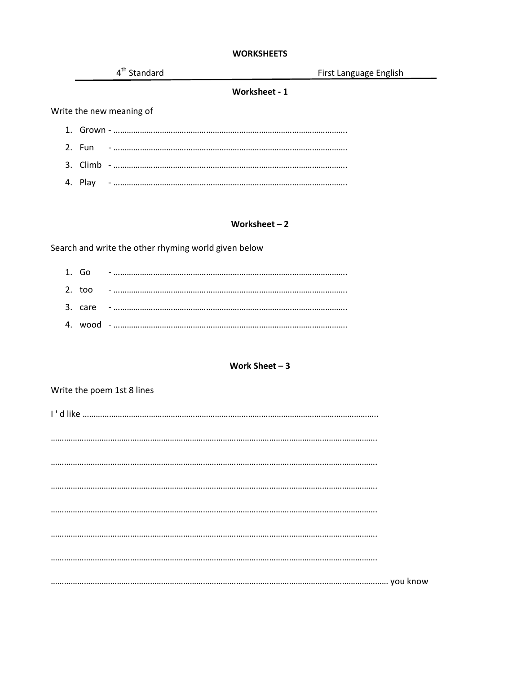# **WORKSHEETS**

|  | 4 <sup>th</sup> Standard | First Language English |
|--|--------------------------|------------------------|
|  | Worksheet - 1            |                        |
|  | Write the new meaning of |                        |
|  |                          |                        |
|  |                          |                        |
|  |                          |                        |
|  |                          |                        |
|  |                          |                        |

#### Worksheet  $-2$

Search and write the other rhyming world given below

|  | 1. $60 - 1$ |
|--|-------------|
|  |             |
|  |             |
|  |             |

# Work Sheet  $-3$

| Write the poem 1st 8 lines |  |  |  |
|----------------------------|--|--|--|
|                            |  |  |  |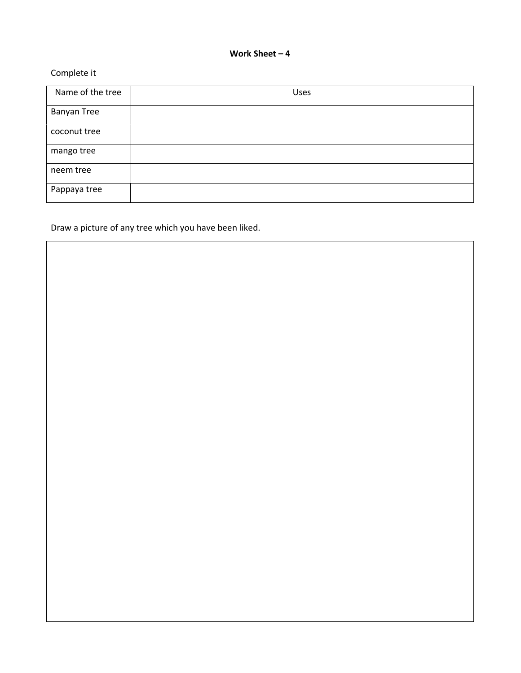### Work Sheet – 4

# Complete it

| Name of the tree   | Uses |
|--------------------|------|
| <b>Banyan Tree</b> |      |
| coconut tree       |      |
| mango tree         |      |
| neem tree          |      |
| Pappaya tree       |      |

Draw a picture of any tree which you have been liked.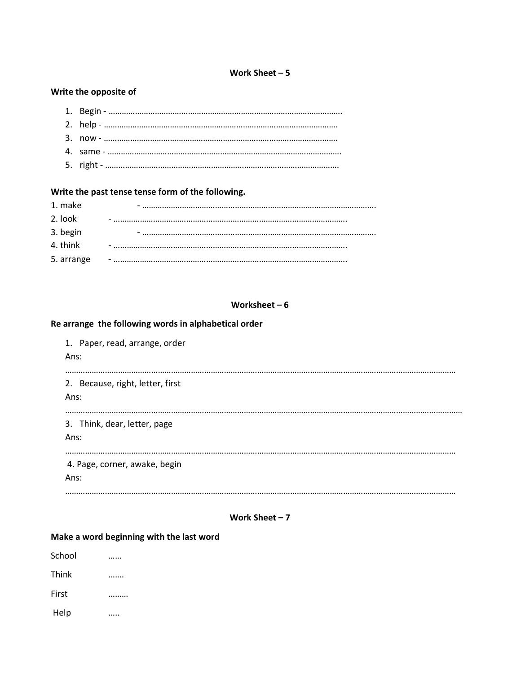# Work Sheet – 5

# Write the opposite of

# Write the past tense tense form of the following.

| 1. make    |  |
|------------|--|
| 2. look    |  |
| 3. begin   |  |
| 4. think   |  |
| 5. arrange |  |

# Worksheet – 6

# Re arrange the following words in alphabetical order

| 1. Paper, read, arrange, order<br>Ans:   |
|------------------------------------------|
| 2. Because, right, letter, first<br>Ans: |
| 3. Think, dear, letter, page<br>Ans:     |
| 4. Page, corner, awake, begin<br>Ans:    |

### Work Sheet – 7

#### Make a word beginning with the last word

| School |  |
|--------|--|
| Think  |  |
| First  |  |
| Help   |  |